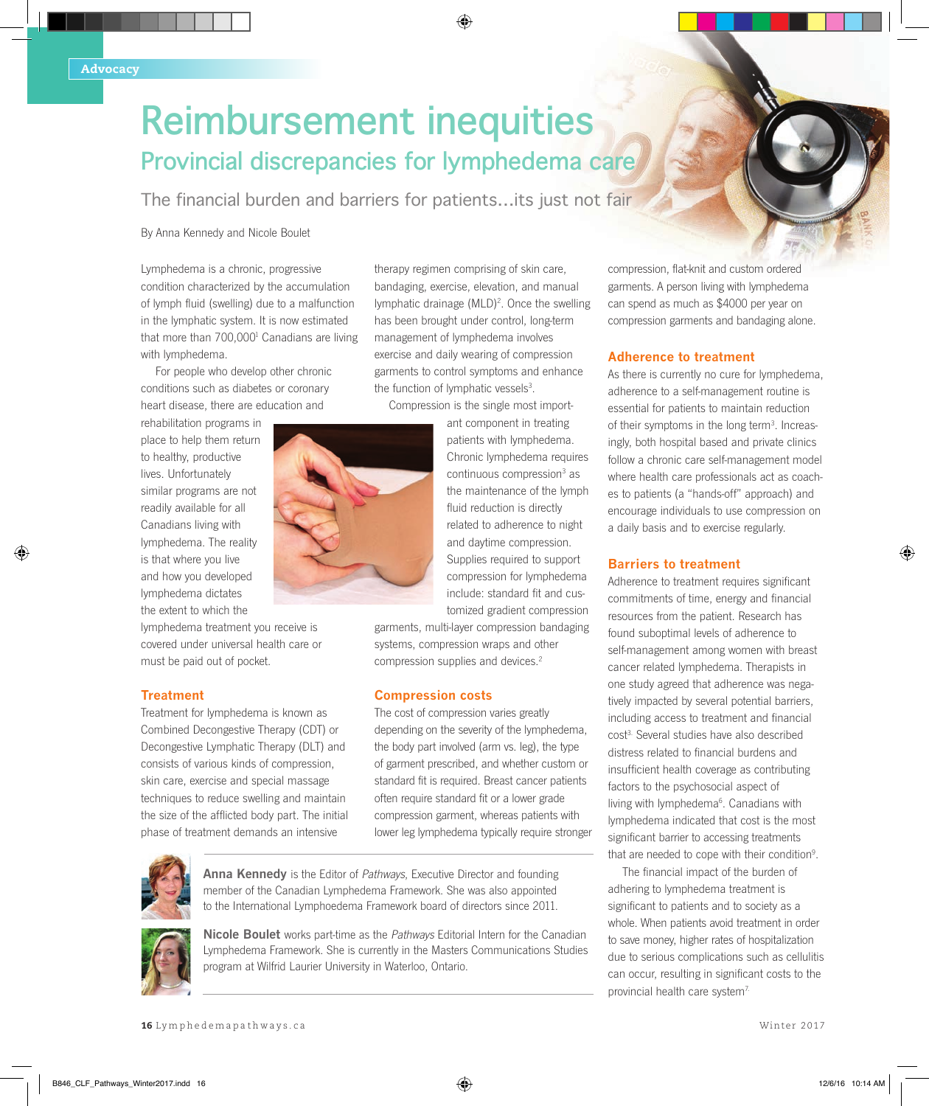# **Reimbursement inequities Provincial discrepancies for lymphedema care**

The financial burden and barriers for patients…its just not fair

By Anna Kennedy and Nicole Boulet

Lymphedema is a chronic, progressive condition characterized by the accumulation of lymph fluid (swelling) due to a malfunction in the lymphatic system. It is now estimated that more than 700,000<sup>1</sup> Canadians are living with lymphedema.

For people who develop other chronic conditions such as diabetes or coronary heart disease, there are education and

rehabilitation programs in place to help them return to healthy, productive lives. Unfortunately similar programs are not readily available for all Canadians living with lymphedema. The reality is that where you live and how you developed lymphedema dictates the extent to which the

lymphedema treatment you receive is covered under universal health care or must be paid out of pocket.

#### **Treatment**

Treatment for lymphedema is known as Combined Decongestive Therapy (CDT) or Decongestive Lymphatic Therapy (DLT) and consists of various kinds of compression, skin care, exercise and special massage techniques to reduce swelling and maintain the size of the afflicted body part. The initial phase of treatment demands an intensive

therapy regimen comprising of skin care, bandaging, exercise, elevation, and manual lymphatic drainage (MLD)<sup>2</sup>. Once the swelling has been brought under control, long-term management of lymphedema involves exercise and daily wearing of compression garments to control symptoms and enhance the function of lymphatic vessels<sup>3</sup>.

Compression is the single most import-

ant component in treating patients with lymphedema. Chronic lymphedema requires continuous compression<sup>3</sup> as the maintenance of the lymph fluid reduction is directly related to adherence to night and daytime compression. Supplies required to support compression for lymphedema include: standard fit and customized gradient compression

garments, multi-layer compression bandaging systems, compression wraps and other compression supplies and devices.<sup>2</sup>

#### **Compression costs**

The cost of compression varies greatly depending on the severity of the lymphedema, the body part involved (arm vs. leg), the type of garment prescribed, and whether custom or standard fit is required. Breast cancer patients often require standard fit or a lower grade compression garment, whereas patients with lower leg lymphedema typically require stronger



**Anna Kennedy** is the Editor of Pathways, Executive Director and founding member of the Canadian Lymphedema Framework. She was also appointed to the International Lymphoedema Framework board of directors since 2011.



**Nicole Boulet** works part-time as the Pathways Editorial Intern for the Canadian Lymphedema Framework. She is currently in the Masters Communications Studies program at Wilfrid Laurier University in Waterloo, Ontario.

compression, flat-knit and custom ordered garments. A person living with lymphedema can spend as much as \$4000 per year on compression garments and bandaging alone.

### **Adherence to treatment**

As there is currently no cure for lymphedema, adherence to a self-management routine is essential for patients to maintain reduction of their symptoms in the long term<sup>3</sup>. Increasingly, both hospital based and private clinics follow a chronic care self-management model where health care professionals act as coaches to patients (a "hands-off" approach) and encourage individuals to use compression on a daily basis and to exercise regularly.

## **Barriers to treatment**

Adherence to treatment requires significant commitments of time, energy and financial resources from the patient. Research has found suboptimal levels of adherence to self-management among women with breast cancer related lymphedema. Therapists in one study agreed that adherence was negatively impacted by several potential barriers, including access to treatment and financial cost<sup>3.</sup> Several studies have also described distress related to financial burdens and insufficient health coverage as contributing factors to the psychosocial aspect of living with lymphedema<sup>6</sup>. Canadians with lymphedema indicated that cost is the most significant barrier to accessing treatments that are needed to cope with their condition<sup>9</sup>.

The financial impact of the burden of adhering to lymphedema treatment is significant to patients and to society as a whole. When patients avoid treatment in order to save money, higher rates of hospitalization due to serious complications such as cellulitis can occur, resulting in significant costs to the provincial health care system<sup>7</sup>